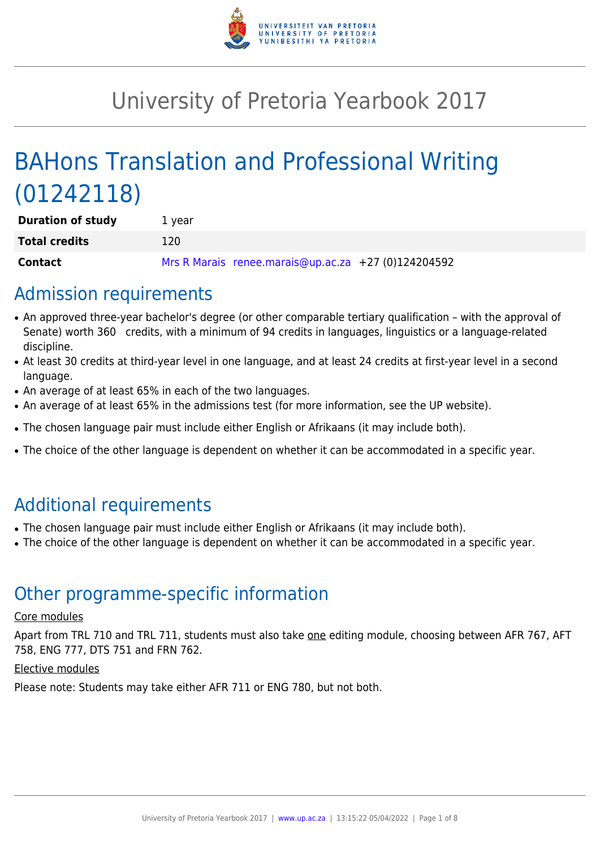

# University of Pretoria Yearbook 2017

# BAHons Translation and Professional Writing (01242118)

| <b>Duration of study</b> | 1 year                                              |
|--------------------------|-----------------------------------------------------|
| <b>Total credits</b>     | 120                                                 |
| Contact                  | Mrs R Marais renee.marais@up.ac.za +27 (0)124204592 |

# Admission requirements

- An approved three-year bachelor's degree (or other comparable tertiary qualification with the approval of Senate) worth 360 credits, with a minimum of 94 credits in languages, linguistics or a language-related discipline.
- At least 30 credits at third-year level in one language, and at least 24 credits at first-year level in a second language.
- An average of at least 65% in each of the two languages.
- An average of at least 65% in the admissions test (for more information, see the UP website).
- The chosen language pair must include either English or Afrikaans (it may include both).
- The choice of the other language is dependent on whether it can be accommodated in a specific year.

# Additional requirements

- The chosen language pair must include either English or Afrikaans (it may include both).
- The choice of the other language is dependent on whether it can be accommodated in a specific year.

# Other programme-specific information

#### Core modules

Apart from TRL 710 and TRL 711, students must also take one editing module, choosing between AFR 767, AFT 758, ENG 777, DTS 751 and FRN 762.

#### Elective modules

Please note: Students may take either AFR 711 or ENG 780, but not both.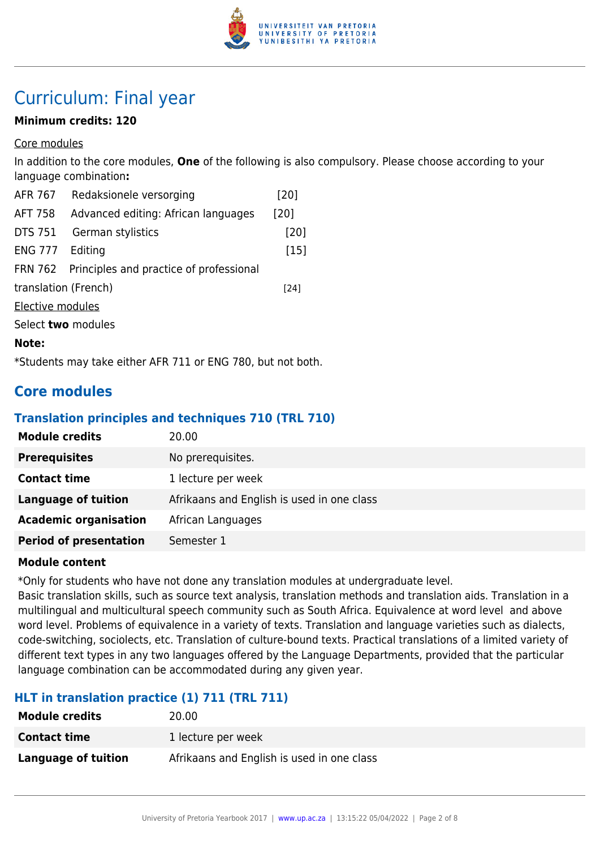

# Curriculum: Final year

## **Minimum credits: 120**

Core modules

In addition to the core modules, **One** of the following is also compulsory. Please choose according to your language combination**:**

| <b>AFR 767</b>                 | Redaksionele versorging                                     | [20]   |
|--------------------------------|-------------------------------------------------------------|--------|
| <b>AFT 758</b>                 | Advanced editing: African languages                         | [20]   |
| <b>DTS 751</b>                 | German stylistics                                           | [20]   |
| <b>ENG 777</b>                 | Editing                                                     | $[15]$ |
| <b>FRN 762</b>                 | Principles and practice of professional                     |        |
| translation (French)<br>$[24]$ |                                                             |        |
| Elective modules               |                                                             |        |
| Select two modules             |                                                             |        |
| Note:                          |                                                             |        |
|                                | *Students may take either AFR 711 or ENG 780, but not both. |        |

# **Core modules**

#### **Translation principles and techniques 710 (TRL 710)**

| <b>Module credits</b>         | 20.00                                      |
|-------------------------------|--------------------------------------------|
| <b>Prerequisites</b>          | No prerequisites.                          |
| <b>Contact time</b>           | 1 lecture per week                         |
| <b>Language of tuition</b>    | Afrikaans and English is used in one class |
| <b>Academic organisation</b>  | African Languages                          |
| <b>Period of presentation</b> | Semester 1                                 |

#### **Module content**

\*Only for students who have not done any translation modules at undergraduate level.

Basic translation skills, such as source text analysis, translation methods and translation aids. Translation in a multilingual and multicultural speech community such as South Africa. Equivalence at word level and above word level. Problems of equivalence in a variety of texts. Translation and language varieties such as dialects, code-switching, sociolects, etc. Translation of culture-bound texts. Practical translations of a limited variety of different text types in any two languages offered by the Language Departments, provided that the particular language combination can be accommodated during any given year.

# **HLT in translation practice (1) 711 (TRL 711)**

| <b>Module credits</b> | 20.00                                      |
|-----------------------|--------------------------------------------|
| <b>Contact time</b>   | 1 lecture per week                         |
| Language of tuition   | Afrikaans and English is used in one class |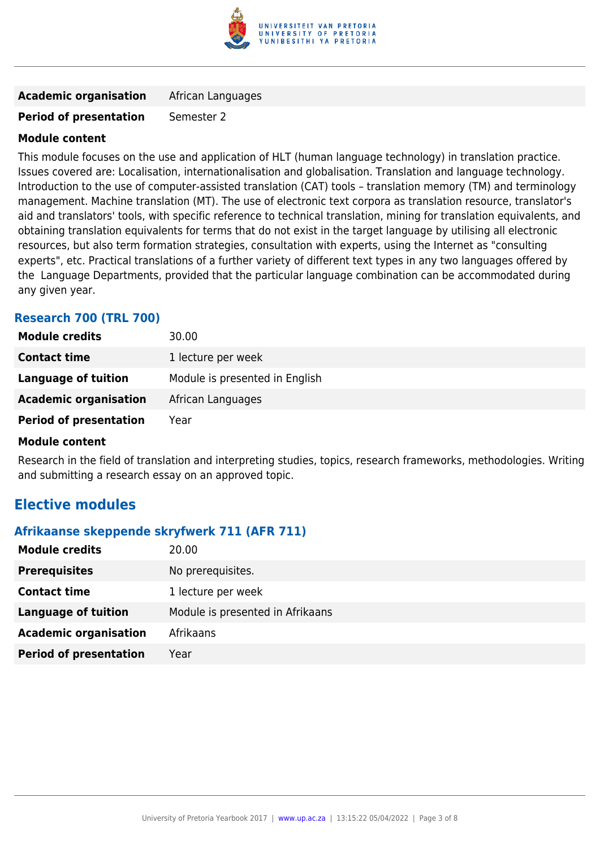

| <b>Academic organisation</b> | African Languages |
|------------------------------|-------------------|
|------------------------------|-------------------|

#### **Period of presentation** Semester 2

#### **Module content**

This module focuses on the use and application of HLT (human language technology) in translation practice. Issues covered are: Localisation, internationalisation and globalisation. Translation and language technology. Introduction to the use of computer-assisted translation (CAT) tools – translation memory (TM) and terminology management. Machine translation (MT). The use of electronic text corpora as translation resource, translator's aid and translators' tools, with specific reference to technical translation, mining for translation equivalents, and obtaining translation equivalents for terms that do not exist in the target language by utilising all electronic resources, but also term formation strategies, consultation with experts, using the Internet as "consulting experts", etc. Practical translations of a further variety of different text types in any two languages offered by the Language Departments, provided that the particular language combination can be accommodated during any given year.

## **Research 700 (TRL 700)**

| <b>Module credits</b>         | 30.00                          |
|-------------------------------|--------------------------------|
| <b>Contact time</b>           | 1 lecture per week             |
| Language of tuition           | Module is presented in English |
| <b>Academic organisation</b>  | African Languages              |
| <b>Period of presentation</b> | Year                           |

#### **Module content**

Research in the field of translation and interpreting studies, topics, research frameworks, methodologies. Writing and submitting a research essay on an approved topic.

# **Elective modules**

#### **Afrikaanse skeppende skryfwerk 711 (AFR 711)**

| <b>Module credits</b>         | 20.00                            |
|-------------------------------|----------------------------------|
| <b>Prerequisites</b>          | No prerequisites.                |
| <b>Contact time</b>           | 1 lecture per week               |
| <b>Language of tuition</b>    | Module is presented in Afrikaans |
| <b>Academic organisation</b>  | Afrikaans                        |
| <b>Period of presentation</b> | Year                             |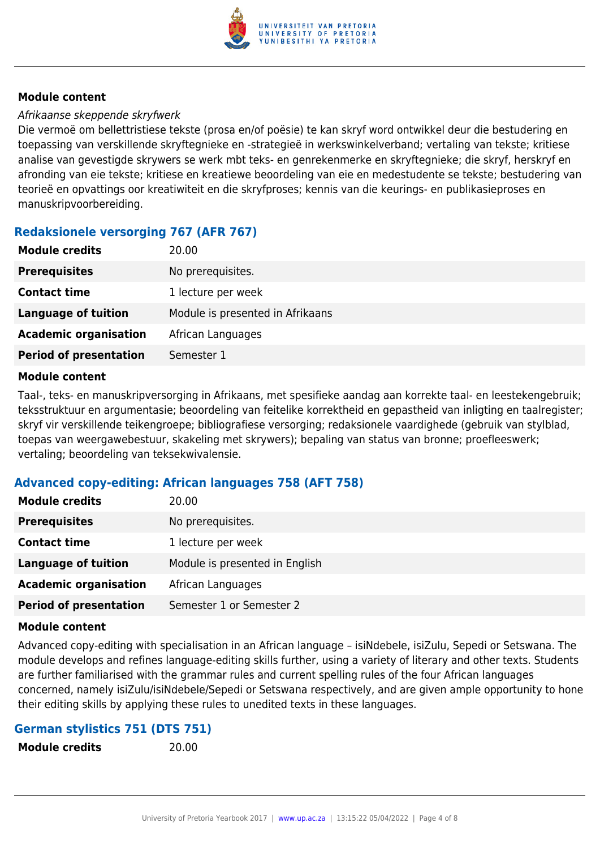

#### Afrikaanse skeppende skryfwerk

Die vermoë om bellettristiese tekste (prosa en/of poësie) te kan skryf word ontwikkel deur die bestudering en toepassing van verskillende skryftegnieke en -strategieë in werkswinkelverband; vertaling van tekste; kritiese analise van gevestigde skrywers se werk mbt teks- en genrekenmerke en skryftegnieke; die skryf, herskryf en afronding van eie tekste; kritiese en kreatiewe beoordeling van eie en medestudente se tekste; bestudering van teorieë en opvattings oor kreatiwiteit en die skryfproses; kennis van die keurings- en publikasieproses en manuskripvoorbereiding.

# **Redaksionele versorging 767 (AFR 767)**

| <b>Prerequisites</b><br>No prerequisites.<br><b>Contact time</b><br>1 lecture per week<br>Module is presented in Afrikaans<br><b>Language of tuition</b><br><b>Academic organisation</b><br>African Languages | <b>Module credits</b>         | 20.00      |
|---------------------------------------------------------------------------------------------------------------------------------------------------------------------------------------------------------------|-------------------------------|------------|
|                                                                                                                                                                                                               |                               |            |
|                                                                                                                                                                                                               |                               |            |
|                                                                                                                                                                                                               |                               |            |
|                                                                                                                                                                                                               |                               |            |
|                                                                                                                                                                                                               | <b>Period of presentation</b> | Semester 1 |

#### **Module content**

Taal-, teks- en manuskripversorging in Afrikaans, met spesifieke aandag aan korrekte taal- en leestekengebruik; teksstruktuur en argumentasie; beoordeling van feitelike korrektheid en gepastheid van inligting en taalregister; skryf vir verskillende teikengroepe; bibliografiese versorging; redaksionele vaardighede (gebruik van stylblad, toepas van weergawebestuur, skakeling met skrywers); bepaling van status van bronne; proefleeswerk; vertaling; beoordeling van teksekwivalensie.

## **Advanced copy-editing: African languages 758 (AFT 758)**

| <b>Module credits</b>         | 20.00                          |
|-------------------------------|--------------------------------|
| <b>Prerequisites</b>          | No prerequisites.              |
| <b>Contact time</b>           | 1 lecture per week             |
| Language of tuition           | Module is presented in English |
| <b>Academic organisation</b>  | African Languages              |
| <b>Period of presentation</b> | Semester 1 or Semester 2       |

#### **Module content**

Advanced copy-editing with specialisation in an African language – isiNdebele, isiZulu, Sepedi or Setswana. The module develops and refines language-editing skills further, using a variety of literary and other texts. Students are further familiarised with the grammar rules and current spelling rules of the four African languages concerned, namely isiZulu/isiNdebele/Sepedi or Setswana respectively, and are given ample opportunity to hone their editing skills by applying these rules to unedited texts in these languages.

#### **German stylistics 751 (DTS 751)**

**Module credits** 20.00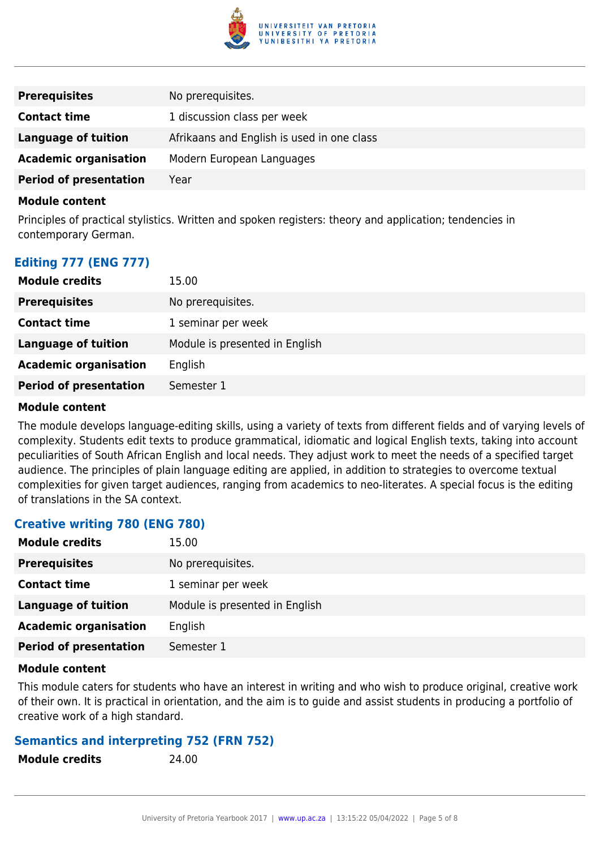

| <b>Prerequisites</b>          | No prerequisites.                          |
|-------------------------------|--------------------------------------------|
| <b>Contact time</b>           | 1 discussion class per week                |
| Language of tuition           | Afrikaans and English is used in one class |
| <b>Academic organisation</b>  | Modern European Languages                  |
| <b>Period of presentation</b> | Year                                       |

Principles of practical stylistics. Written and spoken registers: theory and application; tendencies in contemporary German.

## **Editing 777 (ENG 777)**

| <b>Module credits</b>         | 15.00                          |
|-------------------------------|--------------------------------|
| <b>Prerequisites</b>          | No prerequisites.              |
| <b>Contact time</b>           | 1 seminar per week             |
| Language of tuition           | Module is presented in English |
| <b>Academic organisation</b>  | English                        |
| <b>Period of presentation</b> | Semester 1                     |

#### **Module content**

The module develops language-editing skills, using a variety of texts from different fields and of varying levels of complexity. Students edit texts to produce grammatical, idiomatic and logical English texts, taking into account peculiarities of South African English and local needs. They adjust work to meet the needs of a specified target audience. The principles of plain language editing are applied, in addition to strategies to overcome textual complexities for given target audiences, ranging from academics to neo-literates. A special focus is the editing of translations in the SA context.

#### **Creative writing 780 (ENG 780)**

| <b>Module credits</b>         | 15.00                          |
|-------------------------------|--------------------------------|
| <b>Prerequisites</b>          | No prerequisites.              |
| <b>Contact time</b>           | 1 seminar per week             |
| <b>Language of tuition</b>    | Module is presented in English |
| <b>Academic organisation</b>  | English                        |
| <b>Period of presentation</b> | Semester 1                     |

#### **Module content**

This module caters for students who have an interest in writing and who wish to produce original, creative work of their own. It is practical in orientation, and the aim is to guide and assist students in producing a portfolio of creative work of a high standard.

#### **Semantics and interpreting 752 (FRN 752)**

**Module credits** 24.00

| <b>Module credits</b> |  |  |
|-----------------------|--|--|
|-----------------------|--|--|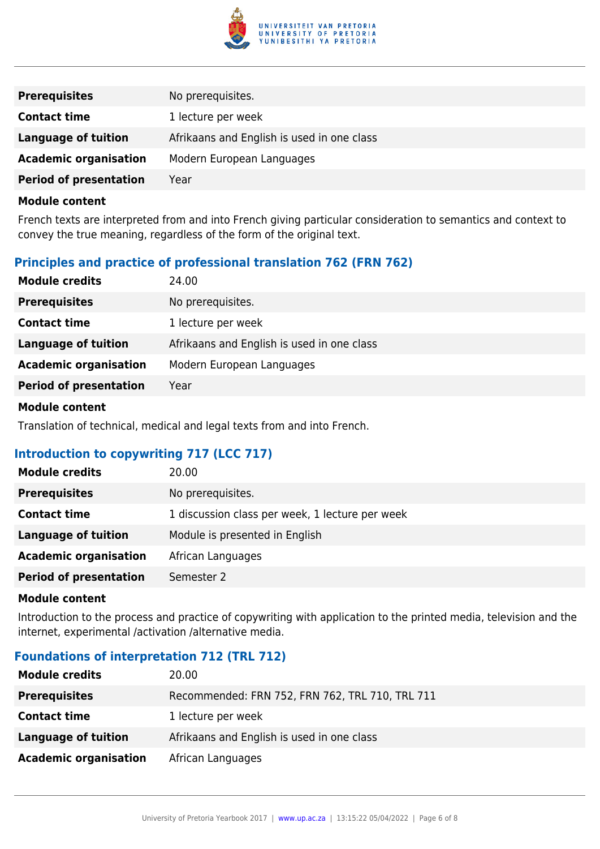

| <b>Prerequisites</b>          | No prerequisites.                          |
|-------------------------------|--------------------------------------------|
| <b>Contact time</b>           | 1 lecture per week                         |
| Language of tuition           | Afrikaans and English is used in one class |
| <b>Academic organisation</b>  | Modern European Languages                  |
| <b>Period of presentation</b> | Year                                       |

French texts are interpreted from and into French giving particular consideration to semantics and context to convey the true meaning, regardless of the form of the original text.

# **Principles and practice of professional translation 762 (FRN 762)**

| <b>Module credits</b>         | 24.00                                      |
|-------------------------------|--------------------------------------------|
| <b>Prerequisites</b>          | No prerequisites.                          |
| <b>Contact time</b>           | 1 lecture per week                         |
| <b>Language of tuition</b>    | Afrikaans and English is used in one class |
| <b>Academic organisation</b>  | Modern European Languages                  |
| <b>Period of presentation</b> | Year                                       |
|                               |                                            |

#### **Module content**

Translation of technical, medical and legal texts from and into French.

## **Introduction to copywriting 717 (LCC 717)**

| <b>Module credits</b>         | 20.00                                           |
|-------------------------------|-------------------------------------------------|
| <b>Prerequisites</b>          | No prerequisites.                               |
| <b>Contact time</b>           | 1 discussion class per week, 1 lecture per week |
| <b>Language of tuition</b>    | Module is presented in English                  |
| <b>Academic organisation</b>  | African Languages                               |
| <b>Period of presentation</b> | Semester 2                                      |

#### **Module content**

Introduction to the process and practice of copywriting with application to the printed media, television and the internet, experimental /activation /alternative media.

## **Foundations of interpretation 712 (TRL 712)**

| <b>Module credits</b>        | 20.00                                           |
|------------------------------|-------------------------------------------------|
| <b>Prerequisites</b>         | Recommended: FRN 752, FRN 762, TRL 710, TRL 711 |
| <b>Contact time</b>          | 1 lecture per week                              |
| Language of tuition          | Afrikaans and English is used in one class      |
| <b>Academic organisation</b> | African Languages                               |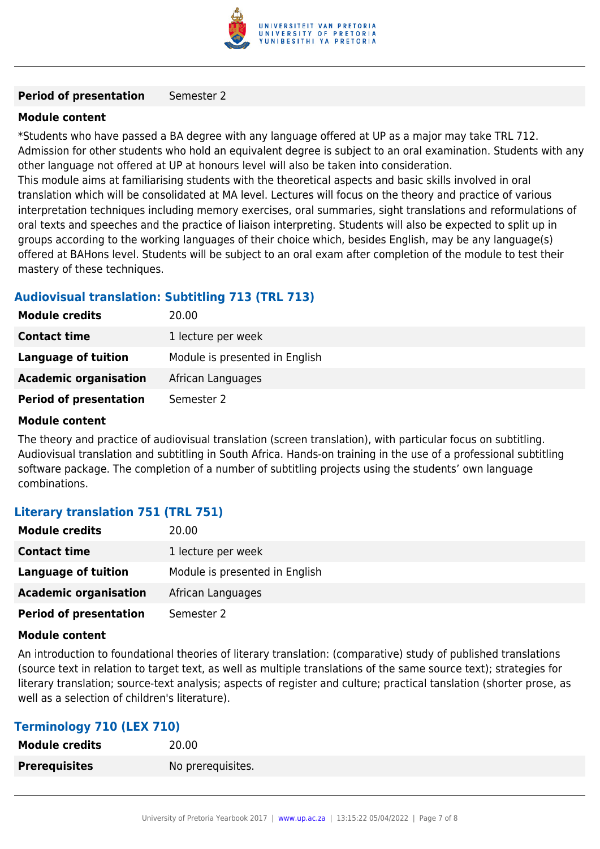

#### **Period of presentation** Semester 2

#### **Module content**

\*Students who have passed a BA degree with any language offered at UP as a major may take TRL 712. Admission for other students who hold an equivalent degree is subject to an oral examination. Students with any other language not offered at UP at honours level will also be taken into consideration.

This module aims at familiarising students with the theoretical aspects and basic skills involved in oral translation which will be consolidated at MA level. Lectures will focus on the theory and practice of various interpretation techniques including memory exercises, oral summaries, sight translations and reformulations of oral texts and speeches and the practice of liaison interpreting. Students will also be expected to split up in groups according to the working languages of their choice which, besides English, may be any language(s) offered at BAHons level. Students will be subject to an oral exam after completion of the module to test their mastery of these techniques.

#### **Audiovisual translation: Subtitling 713 (TRL 713)**

| <b>Module credits</b>         | 20.00                          |
|-------------------------------|--------------------------------|
| <b>Contact time</b>           | 1 lecture per week             |
| Language of tuition           | Module is presented in English |
| <b>Academic organisation</b>  | African Languages              |
| <b>Period of presentation</b> | Semester 2                     |

#### **Module content**

The theory and practice of audiovisual translation (screen translation), with particular focus on subtitling. Audiovisual translation and subtitling in South Africa. Hands-on training in the use of a professional subtitling software package. The completion of a number of subtitling projects using the students' own language combinations.

#### **Literary translation 751 (TRL 751)**

| <b>Module credits</b>         | 20.00                          |
|-------------------------------|--------------------------------|
| <b>Contact time</b>           | 1 lecture per week             |
| Language of tuition           | Module is presented in English |
| <b>Academic organisation</b>  | African Languages              |
| <b>Period of presentation</b> | Semester 2                     |

#### **Module content**

An introduction to foundational theories of literary translation: (comparative) study of published translations (source text in relation to target text, as well as multiple translations of the same source text); strategies for literary translation; source-text analysis; aspects of register and culture; practical tanslation (shorter prose, as well as a selection of children's literature).

#### **Terminology 710 (LEX 710)**

| <b>Module credits</b> | 20.00             |
|-----------------------|-------------------|
| <b>Prerequisites</b>  | No prerequisites. |